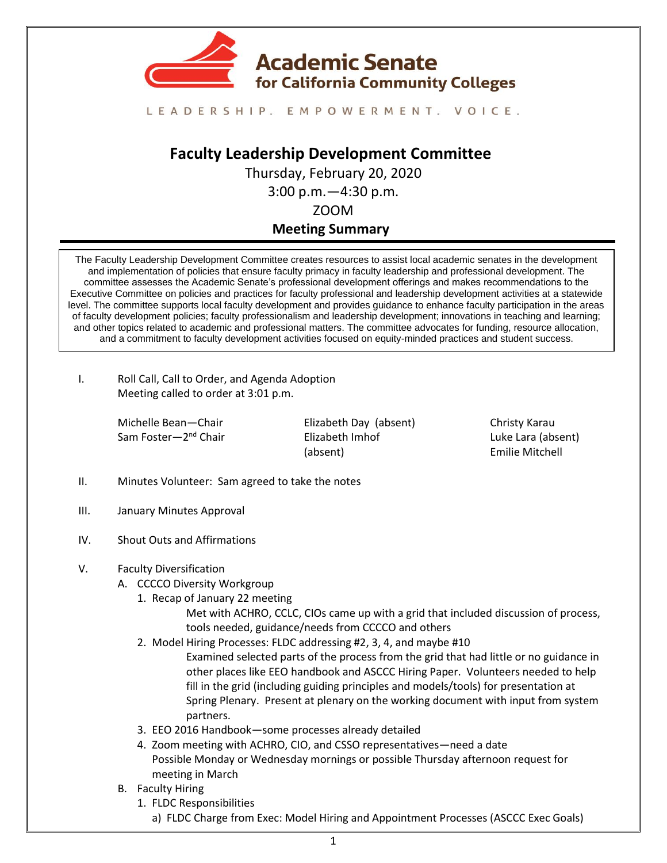

### LEADERSHIP. EMPOWERMENT. VOICE.

# **Faculty Leadership Development Committee**

Thursday, February 20, 2020 3:00 p.m.—4:30 p.m.

ZOOM

## **Meeting Summary**

The Faculty Leadership Development Committee creates resources to assist local academic senates in the development and implementation of policies that ensure faculty primacy in faculty leadership and professional development. The committee assesses the Academic Senate's professional development offerings and makes recommendations to the Executive Committee on policies and practices for faculty professional and leadership development activities at a statewide level. The committee supports local faculty development and provides guidance to enhance faculty participation in the areas of faculty development policies; faculty professionalism and leadership development; innovations in teaching and learning; and other topics related to academic and professional matters. The committee advocates for funding, resource allocation, and a commitment to faculty development activities focused on equity-minded practices and student success.

I. Roll Call, Call to Order, and Agenda Adoption Meeting called to order at 3:01 p.m.

> Michelle Bean—Chair Sam Foster—2<sup>nd</sup> Chair

Elizabeth Day (absent) Elizabeth Imhof (absent)

Christy Karau Luke Lara (absent) Emilie Mitchell

- II. Minutes Volunteer: Sam agreed to take the notes
- III. [January Minutes](https://drive.google.com/file/d/1oCU3tjl5jm_cG5H3yzaTFS_-9ujWiECC/view?usp=sharing) Approval
- IV. Shout Outs and Affirmations
- V. Faculty Diversification
	- A. CCCCO Diversity Workgroup
		- 1. Recap of [January 22 meeting](https://docs.google.com/document/d/15VmCErebboz0EBeBlMU2T1MFDnqwpJaV6aFXq88TEdE/edit?usp=sharing) Met with ACHRO, CCLC, CIOs came up with a grid that included discussion of process,
			- tools needed, guidance/needs from CCCCO and others
		- 2. Model Hiring Processes: FLDC addressing #2, 3, 4, and maybe #10 Examined selected parts of the process from the grid that had little or no guidance in other places like EEO handbook and ASCCC Hiring Paper. Volunteers needed to help fill in the grid (including guiding principles and models/tools) for presentation at Spring Plenary. Present at plenary on the working document with input from system partners.
		- 3. [EEO 2016 Handbook](https://drive.google.com/file/d/1xYeaM0Brux299LiI5fKHxnS5CV7Id0Nx/view?usp=sharing)—some processes already detailed
		- 4. Zoom meeting with ACHRO, CIO, and CSSO representatives—need a date Possible Monday or Wednesday mornings or possible Thursday afternoon request for meeting in March
	- B. Faculty Hiring
		- 1. FLDC Responsibilities
			- a) FLDC Charge from Exec: Model Hiring and Appointment Processes [\(ASCCC Exec Goals\)](https://drive.google.com/file/d/14442JiksVZ9bSTQSWjCHtlvOISfGf4bx/view?usp=sharing)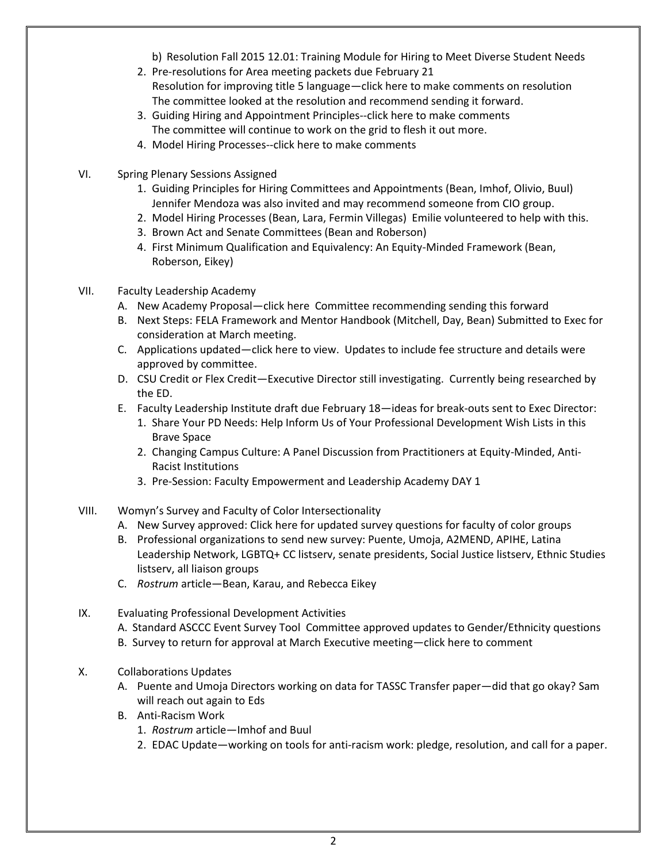- b) [Resolution Fall 2015 12.01:](https://www.asccc.org/resolutions/hiring-culturally-aware-faculty) Training Module for Hiring to Meet Diverse Student Needs
- 2. Pre-resolutions for Area meeting packets due February 21 Resolution for improving title 5 language—[click here](https://docs.google.com/document/d/17kmwXrSIGS2GzWRJBMkiNLhMvhneD0Tx3a2WqtV-ivw/edit?usp=sharing) to make comments on resolution The committee looked at the resolution and recommend sending it forward.
- 3. Guiding Hiring and Appointment Principles-[-click](https://docs.google.com/document/d/15VmCErebboz0EBeBlMU2T1MFDnqwpJaV6aFXq88TEdE/edit?usp=sharing) here to make comments The committee will continue to work on the grid to flesh it out more.
- 4. Model Hiring Processes-[-click](https://docs.google.com/document/d/1bZWGFgvZ8DbX1UqaSRc16BJX70fNAj3cJViUh47u5CI/edit?usp=sharing) here to make comments
- VI. Spring Plenary Session[s Assigned](https://asccc.org/sites/default/files/IV.%20F.%20%281%29%20Spring%20Session%202020%20Draft%20Outline%20-%20for%20Jan%2010%20Exec%20Meeting.pdf)
	- 1. Guiding Principles for Hiring Committees and Appointments (Bean, Imhof, Olivio, Buul) Jennifer Mendoza was also invited and may recommend someone from CIO group.
	- 2. Model Hiring Processes (Bean, Lara, Fermin Villegas) Emilie volunteered to help with this.
	- 3. Brown Act and Senate Committees (Bean and Roberson)
	- 4. First Minimum Qualification and Equivalency: An Equity-Minded Framework (Bean, Roberson, Eikey)
- VII. Faculty Leadership Academy
	- A. New Academy Proposal—[click here](https://docs.google.com/document/d/15ThINbdqjBSAumAySvWJeG9RFIiZBohchRUofhn5c6s/edit) Committee recommending sending this forward
	- B. Next Steps: [FELA Framework](https://docs.google.com/document/d/1ipbm951TI4L5GoqSw3npHGM_JFxK-ZEP9EcCBevPm5I/edit?usp=sharing) and Mentor Handbook (Mitchell, Day, Bean) Submitted to Exec for consideration at March meeting.
	- C. Applications updated—[click here](https://docs.google.com/document/d/1qe5jJwZzLCA1Y1O0DA4VYDttKwXFjYntGDJwQg40Uuo/edit?usp=sharing) to view. Updates to include fee structure and details were approved by committee.
	- D. CSU Credit or Flex Credit—Executive Director still investigating. Currently being researched by the ED.
	- E. Faculty Leadership Institute draft due February 18—ideas for break-outs sent to Exec Director:
		- 1. Share Your PD Needs: Help Inform Us of Your Professional Development Wish Lists in this Brave Space
		- 2. Changing Campus Culture: A Panel Discussion from Practitioners at Equity-Minded, Anti-Racist Institutions
		- 3. Pre-Session: Faculty Empowerment and Leadership Academy DAY 1
- VIII. Womyn's Survey and Faculty of Color Intersectionality
	- A. New Survey approved[: Click here](https://docs.google.com/document/d/1eLcoTUBC45rsLWxz5EraIz-LuMWy9nhYqdiadgNUd0Q/edit?usp=sharing) for updated survey questions for faculty of color groups
	- B. Professional organizations to send new survey: Puente, Umoja, A2MEND, APIHE, Latina Leadership Network, LGBTQ+ CC listserv, senate presidents, Social Justice listserv, Ethnic Studies listserv, all liaison groups
	- C. *[Rostrum](https://docs.google.com/document/d/1n6yNAwk8Yd7u8zbXivrvec0ergNUjUXJ2qFopxkB7r4/edit?usp=sharing)* article—Bean, Karau, and Rebecca Eikey
- IX. Evaluating Professional Development Activities
	- A. Standard ASCCC Even[t Survey Tool](https://drive.google.com/file/d/1SEtqgTk68iPrOei5u1MzQ8Oa08mbsSRZ/view?usp=sharing) Committee approved updates to Gender/Ethnicity questions
	- B. Survey to return for approval at March Executive meeting—[click here](https://docs.google.com/document/d/1Hw79Mph4PV9bUYcZM8dYApoqvGWMvFWZhM-B_lpVUss/edit?usp=sharing) to comment
- X. Collaborations Updates
	- A. Puente and Umoja Directors working on data for TASSC Transfer paper—did that go okay? Sam will reach out again to Eds
	- B. Anti-Racism Work
		- 1. *[Rostrum](https://docs.google.com/document/d/1u6EbWB5HlPFjI4RSGF9LH9hP3NHHPKOyJyvelj5cQc0/edit?usp=sharing)* article—Imhof and Buul
		- 2. EDAC Update—working on tools for anti-racism work: pledge, resolution, and call for a paper.